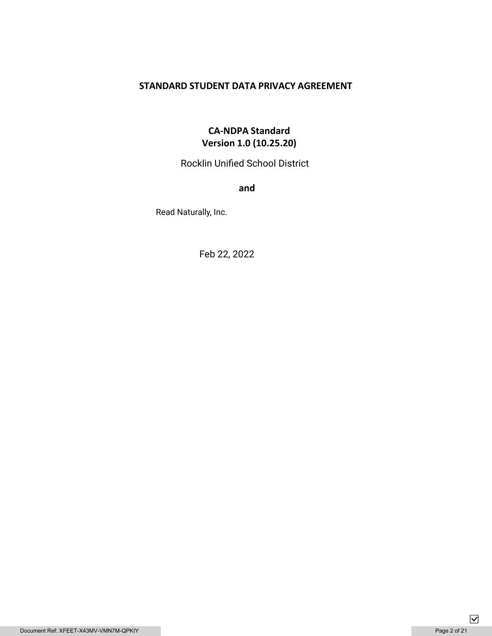## **STANDARD STUDENT DATA PRIVACY AGREEMENT**

## **CA-NDPA Standard Version 1.0 (10.25.20)**

Rocklin Unified School District

**and** 

Read Naturally, Inc.

Feb 22, 2022

 $\boxed{\mathbf{\mathsf{v}}}$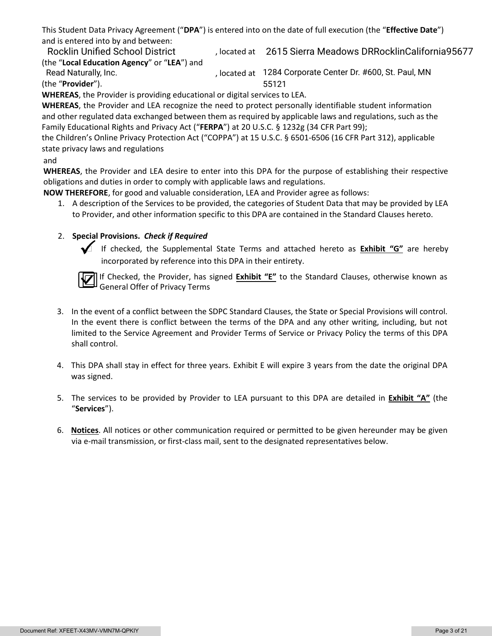This Student Data Privacy Agreement ("**DPA**") is entered into on the date of full execution (the "**Effective Date**") and is entered into by and between:

Rocklin Unified School District Theoric Reated at 2615 Sierra Meadows DRRocklinCalifornia95677 (the "**Local Education Agency**" or "**LEA**") and

, located at 1284 Corporate Center Dr. #600, St. Paul, MN (the "**Provider**"). 55121 Read Naturally, Inc.

**WHEREAS**, the Provider is providing educational or digital services to LEA.

**WHEREAS**, the Provider and LEA recognize the need to protect personally identifiable student information and other regulated data exchanged between them as required by applicable laws and regulations, such as the Family Educational Rights and Privacy Act ("**FERPA**") at 20 U.S.C. § 1232g (34 CFR Part 99);

the Children's Online Privacy Protection Act ("COPPA") at 15 U.S.C. § 6501-6506 (16 CFR Part 312), applicable state privacy laws and regulations

#### and

**WHEREAS**, the Provider and LEA desire to enter into this DPA for the purpose of establishing their respective obligations and duties in order to comply with applicable laws and regulations.

**NOW THEREFORE**, for good and valuable consideration, LEA and Provider agree as follows:

1. A description of the Services to be provided, the categories of Student Data that may be provided by LEA to Provider, and other information specific to this DPA are contained in the Standard Clauses hereto.

#### 2. **Special Provisions.** *Check if Required*



 If checked, the Supplemental State Terms and attached hereto as **Exhibit "G"** are hereby incorporated by reference into this DPA in their entirety.



If Checked, the Provider, has signed **Exhibit "E"** to the Standard Clauses, otherwise known as General Offer of Privacy Terms

- 3. In the event of a conflict between the SDPC Standard Clauses, the State or Special Provisions will control. In the event there is conflict between the terms of the DPA and any other writing, including, but not limited to the Service Agreement and Provider Terms of Service or Privacy Policy the terms of this DPA shall control.
- 4. This DPA shall stay in effect for three years. Exhibit E will expire 3 years from the date the original DPA was signed.
- 5. The services to be provided by Provider to LEA pursuant to this DPA are detailed in **Exhibit "A"** (the "**Services**").
- 6. **Notices**. All notices or other communication required or permitted to be given hereunder may be given via e-mail transmission, or first-class mail, sent to the designated representatives below.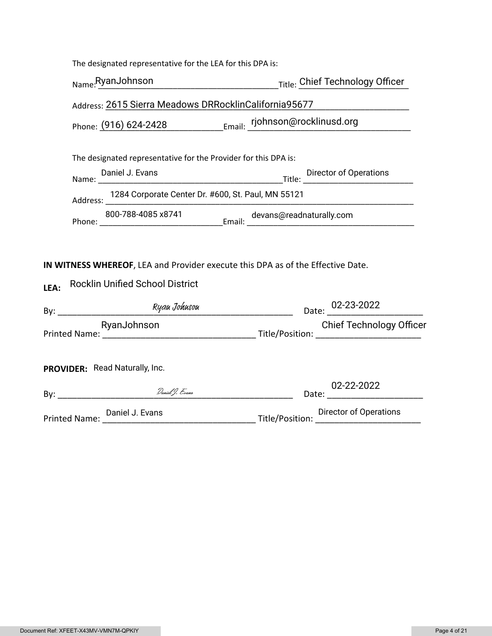|      | The designated representative for the LEA for this DPA is:                                                                |  |                                 |  |
|------|---------------------------------------------------------------------------------------------------------------------------|--|---------------------------------|--|
|      | Name:RyanJohnson Title: Chief Technology Officer                                                                          |  |                                 |  |
|      | Address: 2615 Sierra Meadows DRRocklinCalifornia95677                                                                     |  |                                 |  |
|      | Phone: (916) 624-2428 Email: rjohnson@rocklinusd.org                                                                      |  |                                 |  |
|      | The designated representative for the Provider for this DPA is:                                                           |  |                                 |  |
|      | Daniel J. Evans                                                                                                           |  |                                 |  |
|      | Address: 1284 Corporate Center Dr. #600, St. Paul, MN 55121<br><u> 1980 - Johann Barbara, martin a</u> bhaile an t-       |  |                                 |  |
|      |                                                                                                                           |  |                                 |  |
| LEA: | IN WITNESS WHEREOF, LEA and Provider execute this DPA as of the Effective Date.<br><b>Rocklin Unified School District</b> |  |                                 |  |
|      |                                                                                                                           |  | Date: 02-23-2022                |  |
|      | RyanJohnson                                                                                                               |  | <b>Chief Technology Officer</b> |  |
|      | PROVIDER: Read Naturally, Inc.                                                                                            |  |                                 |  |
|      |                                                                                                                           |  | 02-22-2022                      |  |
|      | Printed Name: Daniel J. Evans Director of Operations Director of Operations Director of Operations                        |  |                                 |  |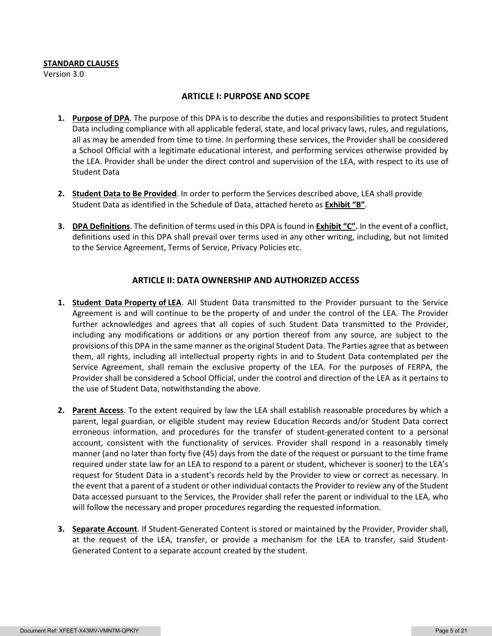#### **STANDARD CLAUSES**

Version 3.0

#### **ARTICLE I: PURPOSE AND SCOPE**

- **1. Purpose of DPA**. The purpose of this DPA is to describe the duties and responsibilities to protect Student Data including compliance with all applicable federal, state, and local privacy laws, rules, and regulations, all as may be amended from time to time. In performing these services, the Provider shall be considered a School Official with a legitimate educational interest, and performing services otherwise provided by the LEA. Provider shall be under the direct control and supervision of the LEA, with respect to its use of Student Data
- **2. Student Data to Be Provided**. In order to perform the Services described above, LEA shall provide Student Data as identified in the Schedule of Data, attached hereto as **Exhibit "B"**.
- **3. DPA Definitions**. The definition of terms used in this DPA is found in **Exhibit "C".** In the event of a conflict, definitions used in this DPA shall prevail over terms used in any other writing, including, but not limited to the Service Agreement, Terms of Service, Privacy Policies etc.

#### **ARTICLE II: DATA OWNERSHIP AND AUTHORIZED ACCESS**

- **1. Student Data Property of LEA**. All Student Data transmitted to the Provider pursuant to the Service Agreement is and will continue to be the property of and under the control of the LEA. The Provider further acknowledges and agrees that all copies of such Student Data transmitted to the Provider, including any modifications or additions or any portion thereof from any source, are subject to the provisions of this DPA in the same manner as the original Student Data. The Parties agree that as between them, all rights, including all intellectual property rights in and to Student Data contemplated per the Service Agreement, shall remain the exclusive property of the LEA. For the purposes of FERPA, the Provider shall be considered a School Official, under the control and direction of the LEA as it pertains to the use of Student Data, notwithstanding the above.
- **2. Parent Access**. To the extent required by law the LEA shall establish reasonable procedures by which a parent, legal guardian, or eligible student may review Education Records and/or Student Data correct erroneous information, and procedures for the transfer of student-generated content to a personal account, consistent with the functionality of services. Provider shall respond in a reasonably timely manner (and no later than forty five (45) days from the date of the request or pursuant to the time frame required under state law for an LEA to respond to a parent or student, whichever is sooner) to the LEA's request for Student Data in a student's records held by the Provider to view or correct as necessary. In the event that a parent of a student or other individual contacts the Provider to review any of the Student Data accessed pursuant to the Services, the Provider shall refer the parent or individual to the LEA, who will follow the necessary and proper procedures regarding the requested information.
- **3. Separate Account**. If Student-Generated Content is stored or maintained by the Provider, Provider shall, at the request of the LEA, transfer, or provide a mechanism for the LEA to transfer, said Student-Generated Content to a separate account created by the student.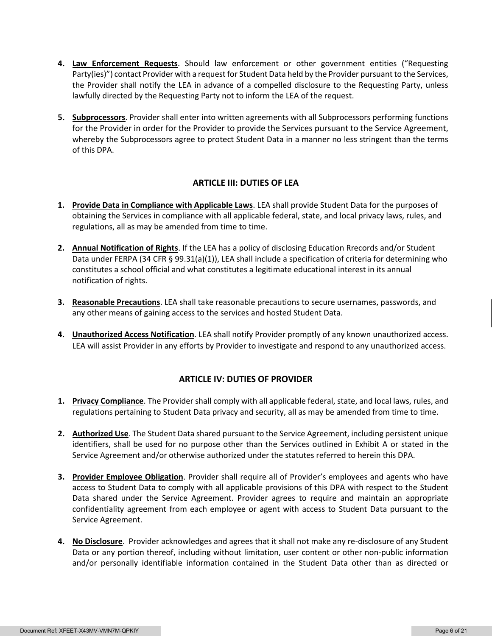- **4. Law Enforcement Requests**. Should law enforcement or other government entities ("Requesting Party(ies)") contact Provider with a request for Student Data held by the Provider pursuant to the Services, the Provider shall notify the LEA in advance of a compelled disclosure to the Requesting Party, unless lawfully directed by the Requesting Party not to inform the LEA of the request.
- **5. Subprocessors**. Provider shall enter into written agreements with all Subprocessors performing functions for the Provider in order for the Provider to provide the Services pursuant to the Service Agreement, whereby the Subprocessors agree to protect Student Data in a manner no less stringent than the terms of this DPA.

#### **ARTICLE III: DUTIES OF LEA**

- **1. Provide Data in Compliance with Applicable Laws**. LEA shall provide Student Data for the purposes of obtaining the Services in compliance with all applicable federal, state, and local privacy laws, rules, and regulations, all as may be amended from time to time.
- **2. Annual Notification of Rights**. If the LEA has a policy of disclosing Education Rrecords and/or Student Data under FERPA (34 CFR § 99.31(a)(1)), LEA shall include a specification of criteria for determining who constitutes a school official and what constitutes a legitimate educational interest in its annual notification of rights.
- **3. Reasonable Precautions**. LEA shall take reasonable precautions to secure usernames, passwords, and any other means of gaining access to the services and hosted Student Data.
- **4. Unauthorized Access Notification**. LEA shall notify Provider promptly of any known unauthorized access. LEA will assist Provider in any efforts by Provider to investigate and respond to any unauthorized access.

#### **ARTICLE IV: DUTIES OF PROVIDER**

- **1. Privacy Compliance**. The Provider shall comply with all applicable federal, state, and local laws, rules, and regulations pertaining to Student Data privacy and security, all as may be amended from time to time.
- **2. Authorized Use**. The Student Data shared pursuant to the Service Agreement, including persistent unique identifiers, shall be used for no purpose other than the Services outlined in Exhibit A or stated in the Service Agreement and/or otherwise authorized under the statutes referred to herein this DPA.
- **3. Provider Employee Obligation**. Provider shall require all of Provider's employees and agents who have access to Student Data to comply with all applicable provisions of this DPA with respect to the Student Data shared under the Service Agreement. Provider agrees to require and maintain an appropriate confidentiality agreement from each employee or agent with access to Student Data pursuant to the Service Agreement.
- **4. No Disclosure**. Provider acknowledges and agrees that it shall not make any re-disclosure of any Student Data or any portion thereof, including without limitation, user content or other non-public information and/or personally identifiable information contained in the Student Data other than as directed or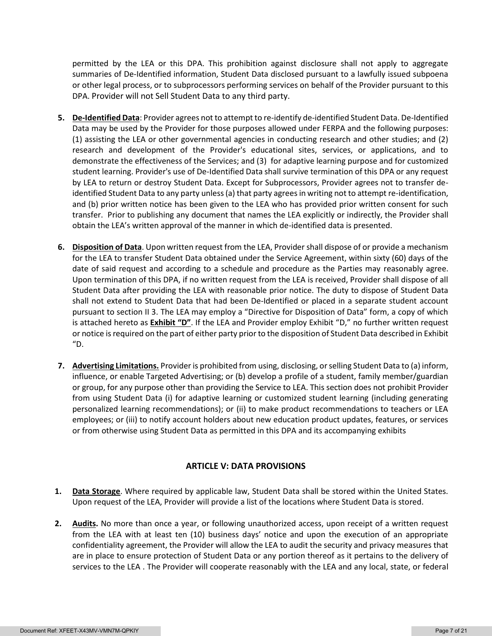permitted by the LEA or this DPA. This prohibition against disclosure shall not apply to aggregate summaries of De-Identified information, Student Data disclosed pursuant to a lawfully issued subpoena or other legal process, or to subprocessors performing services on behalf of the Provider pursuant to this DPA. Provider will not Sell Student Data to any third party.

- **5. De-Identified Data**: Provider agrees not to attempt to re-identify de-identified Student Data. De-Identified Data may be used by the Provider for those purposes allowed under FERPA and the following purposes: (1) assisting the LEA or other governmental agencies in conducting research and other studies; and (2) research and development of the Provider's educational sites, services, or applications, and to demonstrate the effectiveness of the Services; and (3) for adaptive learning purpose and for customized student learning. Provider's use of De-Identified Data shall survive termination of this DPA or any request by LEA to return or destroy Student Data. Except for Subprocessors, Provider agrees not to transfer deidentified Student Data to any party unless (a) that party agrees in writing not to attempt re-identification, and (b) prior written notice has been given to the LEA who has provided prior written consent for such transfer. Prior to publishing any document that names the LEA explicitly or indirectly, the Provider shall obtain the LEA's written approval of the manner in which de-identified data is presented.
- **6. Disposition of Data**. Upon written request from the LEA, Provider shall dispose of or provide a mechanism for the LEA to transfer Student Data obtained under the Service Agreement, within sixty (60) days of the date of said request and according to a schedule and procedure as the Parties may reasonably agree. Upon termination of this DPA, if no written request from the LEA is received, Provider shall dispose of all Student Data after providing the LEA with reasonable prior notice. The duty to dispose of Student Data shall not extend to Student Data that had been De-Identified or placed in a separate student account pursuant to section II 3. The LEA may employ a "Directive for Disposition of Data" form, a copy of which is attached hereto as **Exhibit "D"**. If the LEA and Provider employ Exhibit "D," no further written request or notice is required on the part of either party prior to the disposition of Student Data described in Exhibit "D.
- **7. Advertising Limitations.** Provider is prohibited from using, disclosing, or selling Student Data to (a) inform, influence, or enable Targeted Advertising; or (b) develop a profile of a student, family member/guardian or group, for any purpose other than providing the Service to LEA. This section does not prohibit Provider from using Student Data (i) for adaptive learning or customized student learning (including generating personalized learning recommendations); or (ii) to make product recommendations to teachers or LEA employees; or (iii) to notify account holders about new education product updates, features, or services or from otherwise using Student Data as permitted in this DPA and its accompanying exhibits

#### **ARTICLE V: DATA PROVISIONS**

- **1. Data Storage**. Where required by applicable law, Student Data shall be stored within the United States. Upon request of the LEA, Provider will provide a list of the locations where Student Data is stored.
- **2. Audits.** No more than once a year, or following unauthorized access, upon receipt of a written request from the LEA with at least ten (10) business days' notice and upon the execution of an appropriate confidentiality agreement, the Provider will allow the LEA to audit the security and privacy measures that are in place to ensure protection of Student Data or any portion thereof as it pertains to the delivery of services to the LEA . The Provider will cooperate reasonably with the LEA and any local, state, or federal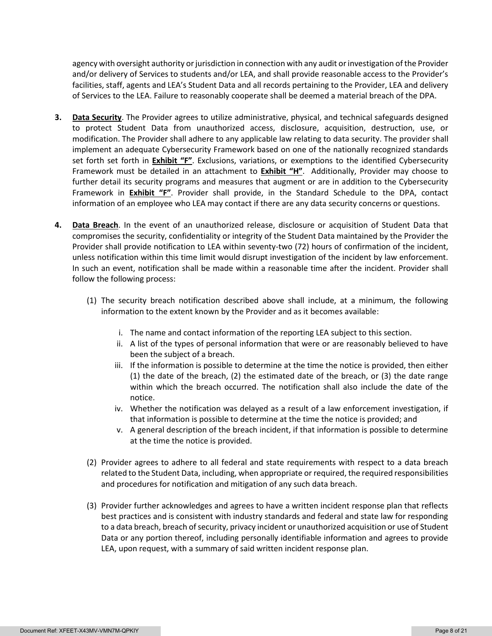agency with oversight authority or jurisdiction in connection with any audit or investigation of the Provider and/or delivery of Services to students and/or LEA, and shall provide reasonable access to the Provider's facilities, staff, agents and LEA's Student Data and all records pertaining to the Provider, LEA and delivery of Services to the LEA. Failure to reasonably cooperate shall be deemed a material breach of the DPA.

- **3. Data Security**. The Provider agrees to utilize administrative, physical, and technical safeguards designed to protect Student Data from unauthorized access, disclosure, acquisition, destruction, use, or modification. The Provider shall adhere to any applicable law relating to data security. The provider shall implement an adequate Cybersecurity Framework based on one of the nationally recognized standards set forth set forth in **Exhibit "F"**. Exclusions, variations, or exemptions to the identified Cybersecurity Framework must be detailed in an attachment to **Exhibit "H"**. Additionally, Provider may choose to further detail its security programs and measures that augment or are in addition to the Cybersecurity Framework in **Exhibit "F"**. Provider shall provide, in the Standard Schedule to the DPA, contact information of an employee who LEA may contact if there are any data security concerns or questions.
- **4. Data Breach**. In the event of an unauthorized release, disclosure or acquisition of Student Data that compromises the security, confidentiality or integrity of the Student Data maintained by the Provider the Provider shall provide notification to LEA within seventy-two (72) hours of confirmation of the incident, unless notification within this time limit would disrupt investigation of the incident by law enforcement. In such an event, notification shall be made within a reasonable time after the incident. Provider shall follow the following process:
	- (1) The security breach notification described above shall include, at a minimum, the following information to the extent known by the Provider and as it becomes available:
		- i. The name and contact information of the reporting LEA subject to this section.
		- ii. A list of the types of personal information that were or are reasonably believed to have been the subject of a breach.
		- iii. If the information is possible to determine at the time the notice is provided, then either (1) the date of the breach, (2) the estimated date of the breach, or (3) the date range within which the breach occurred. The notification shall also include the date of the notice.
		- iv. Whether the notification was delayed as a result of a law enforcement investigation, if that information is possible to determine at the time the notice is provided; and
		- v. A general description of the breach incident, if that information is possible to determine at the time the notice is provided.
	- (2) Provider agrees to adhere to all federal and state requirements with respect to a data breach related to the Student Data, including, when appropriate or required, the required responsibilities and procedures for notification and mitigation of any such data breach.
	- (3) Provider further acknowledges and agrees to have a written incident response plan that reflects best practices and is consistent with industry standards and federal and state law for responding to a data breach, breach of security, privacy incident or unauthorized acquisition or use of Student Data or any portion thereof, including personally identifiable information and agrees to provide LEA, upon request, with a summary of said written incident response plan.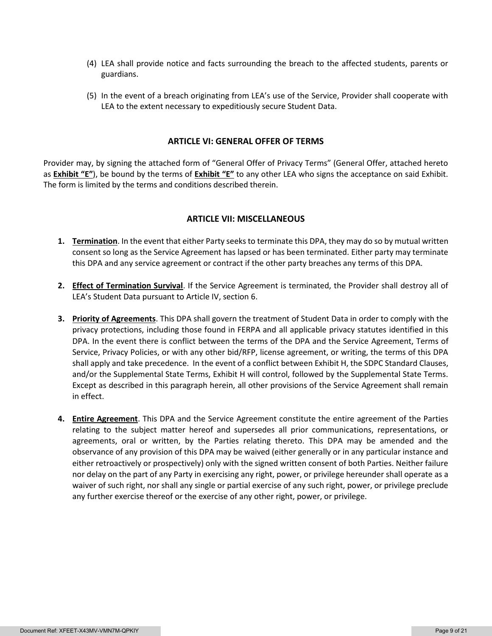- (4) LEA shall provide notice and facts surrounding the breach to the affected students, parents or guardians.
- (5) In the event of a breach originating from LEA's use of the Service, Provider shall cooperate with LEA to the extent necessary to expeditiously secure Student Data.

#### **ARTICLE VI: GENERAL OFFER OF TERMS**

Provider may, by signing the attached form of "General Offer of Privacy Terms" (General Offer, attached hereto as **Exhibit "E"**), be bound by the terms of **Exhibit "E"** to any other LEA who signs the acceptance on said Exhibit. The form is limited by the terms and conditions described therein.

#### **ARTICLE VII: MISCELLANEOUS**

- **1. Termination**. In the event that either Party seeks to terminate this DPA, they may do so by mutual written consent so long as the Service Agreement has lapsed or has been terminated. Either party may terminate this DPA and any service agreement or contract if the other party breaches any terms of this DPA.
- **2. Effect of Termination Survival**. If the Service Agreement is terminated, the Provider shall destroy all of LEA's Student Data pursuant to Article IV, section 6.
- **3. Priority of Agreements**. This DPA shall govern the treatment of Student Data in order to comply with the privacy protections, including those found in FERPA and all applicable privacy statutes identified in this DPA. In the event there is conflict between the terms of the DPA and the Service Agreement, Terms of Service, Privacy Policies, or with any other bid/RFP, license agreement, or writing, the terms of this DPA shall apply and take precedence. In the event of a conflict between Exhibit H, the SDPC Standard Clauses, and/or the Supplemental State Terms, Exhibit H will control, followed by the Supplemental State Terms. Except as described in this paragraph herein, all other provisions of the Service Agreement shall remain in effect.
- **4. Entire Agreement**. This DPA and the Service Agreement constitute the entire agreement of the Parties relating to the subject matter hereof and supersedes all prior communications, representations, or agreements, oral or written, by the Parties relating thereto. This DPA may be amended and the observance of any provision of this DPA may be waived (either generally or in any particular instance and either retroactively or prospectively) only with the signed written consent of both Parties. Neither failure nor delay on the part of any Party in exercising any right, power, or privilege hereunder shall operate as a waiver of such right, nor shall any single or partial exercise of any such right, power, or privilege preclude any further exercise thereof or the exercise of any other right, power, or privilege.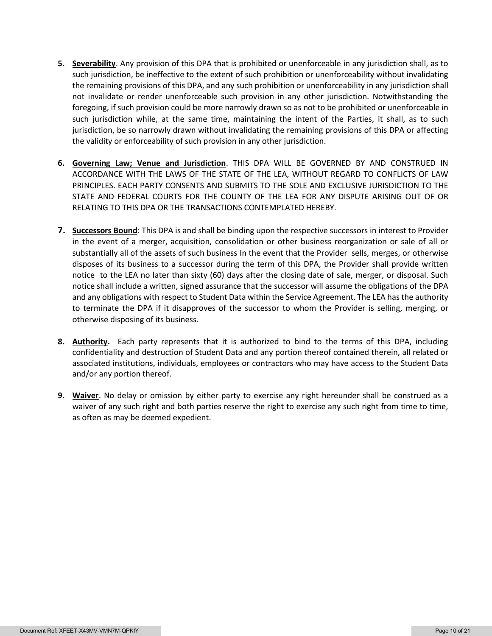- **5. Severability**. Any provision of this DPA that is prohibited or unenforceable in any jurisdiction shall, as to such jurisdiction, be ineffective to the extent of such prohibition or unenforceability without invalidating the remaining provisions of this DPA, and any such prohibition or unenforceability in any jurisdiction shall not invalidate or render unenforceable such provision in any other jurisdiction. Notwithstanding the foregoing, if such provision could be more narrowly drawn so as not to be prohibited or unenforceable in such jurisdiction while, at the same time, maintaining the intent of the Parties, it shall, as to such jurisdiction, be so narrowly drawn without invalidating the remaining provisions of this DPA or affecting the validity or enforceability of such provision in any other jurisdiction.
- **6. Governing Law; Venue and Jurisdiction**. THIS DPA WILL BE GOVERNED BY AND CONSTRUED IN ACCORDANCE WITH THE LAWS OF THE STATE OF THE LEA, WITHOUT REGARD TO CONFLICTS OF LAW PRINCIPLES. EACH PARTY CONSENTS AND SUBMITS TO THE SOLE AND EXCLUSIVE JURISDICTION TO THE STATE AND FEDERAL COURTS FOR THE COUNTY OF THE LEA FOR ANY DISPUTE ARISING OUT OF OR RELATING TO THIS DPA OR THE TRANSACTIONS CONTEMPLATED HEREBY.
- **7. Successors Bound**: This DPA is and shall be binding upon the respective successors in interest to Provider in the event of a merger, acquisition, consolidation or other business reorganization or sale of all or substantially all of the assets of such business In the event that the Provider sells, merges, or otherwise disposes of its business to a successor during the term of this DPA, the Provider shall provide written notice to the LEA no later than sixty (60) days after the closing date of sale, merger, or disposal. Such notice shall include a written, signed assurance that the successor will assume the obligations of the DPA and any obligations with respect to Student Data within the Service Agreement. The LEA has the authority to terminate the DPA if it disapproves of the successor to whom the Provider is selling, merging, or otherwise disposing of its business.
- **8. Authority.** Each party represents that it is authorized to bind to the terms of this DPA, including confidentiality and destruction of Student Data and any portion thereof contained therein, all related or associated institutions, individuals, employees or contractors who may have access to the Student Data and/or any portion thereof.
- **9. Waiver**. No delay or omission by either party to exercise any right hereunder shall be construed as a waiver of any such right and both parties reserve the right to exercise any such right from time to time, as often as may be deemed expedient.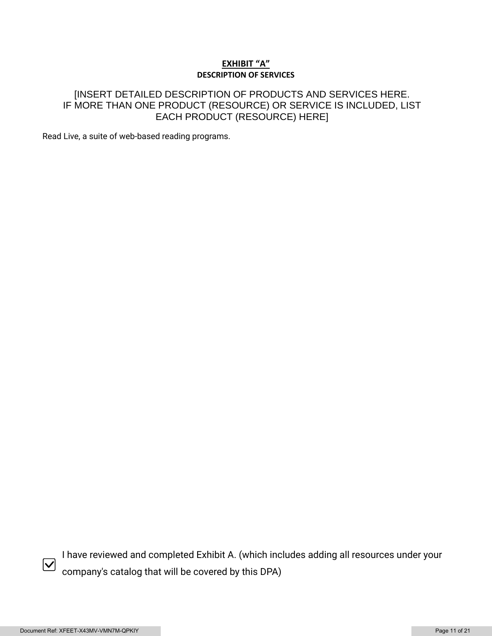#### **EXHIBIT "A" DESCRIPTION OF SERVICES**

## [INSERT DETAILED DESCRIPTION OF PRODUCTS AND SERVICES HERE. IF MORE THAN ONE PRODUCT (RESOURCE) OR SERVICE IS INCLUDED, LIST EACH PRODUCT (RESOURCE) HERE]

Read Live, a suite of web-based reading programs.



I have reviewed and completed Exhibit A. (which includes adding all resources under your company's catalog that will be covered by this DPA)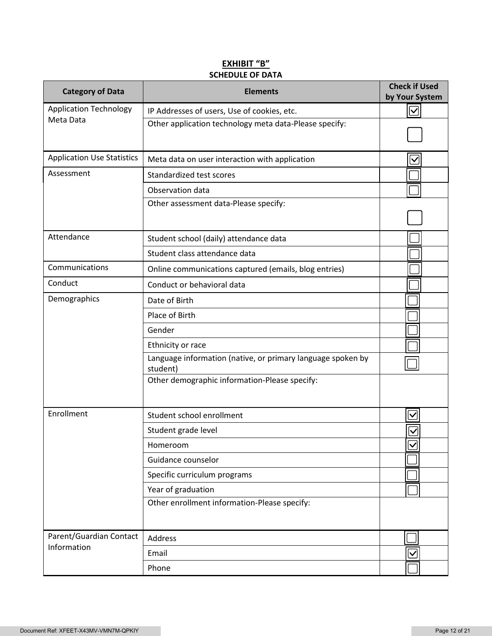## **EXHIBIT "B" SCHEDULE OF DATA**

| <b>Category of Data</b>           | <b>Elements</b>                                                         | <b>Check if Used</b><br>by Your System |
|-----------------------------------|-------------------------------------------------------------------------|----------------------------------------|
| <b>Application Technology</b>     | IP Addresses of users, Use of cookies, etc.                             | $\boldsymbol{\mathsf{ \mathsf{v} }}$   |
| Meta Data                         | Other application technology meta data-Please specify:                  |                                        |
| <b>Application Use Statistics</b> | Meta data on user interaction with application                          | $\checkmark$                           |
| Assessment                        | Standardized test scores                                                |                                        |
|                                   | Observation data                                                        |                                        |
|                                   | Other assessment data-Please specify:                                   |                                        |
| Attendance                        | Student school (daily) attendance data                                  |                                        |
|                                   | Student class attendance data                                           |                                        |
| Communications                    | Online communications captured (emails, blog entries)                   |                                        |
| Conduct                           | Conduct or behavioral data                                              |                                        |
| Demographics                      | Date of Birth                                                           |                                        |
|                                   | Place of Birth                                                          |                                        |
|                                   | Gender                                                                  |                                        |
|                                   | Ethnicity or race                                                       |                                        |
|                                   | Language information (native, or primary language spoken by<br>student) |                                        |
|                                   | Other demographic information-Please specify:                           |                                        |
| Enrollment                        | Student school enrollment                                               | $\blacktriangledown$                   |
|                                   | Student grade level                                                     | $\checkmark$                           |
|                                   | Homeroom                                                                | $\blacktriangledown$                   |
|                                   | Guidance counselor                                                      |                                        |
|                                   | Specific curriculum programs                                            |                                        |
|                                   | Year of graduation                                                      |                                        |
|                                   | Other enrollment information-Please specify:                            |                                        |
| Parent/Guardian Contact           | Address                                                                 |                                        |
| Information                       | Email                                                                   | $\checkmark$                           |
|                                   | Phone                                                                   |                                        |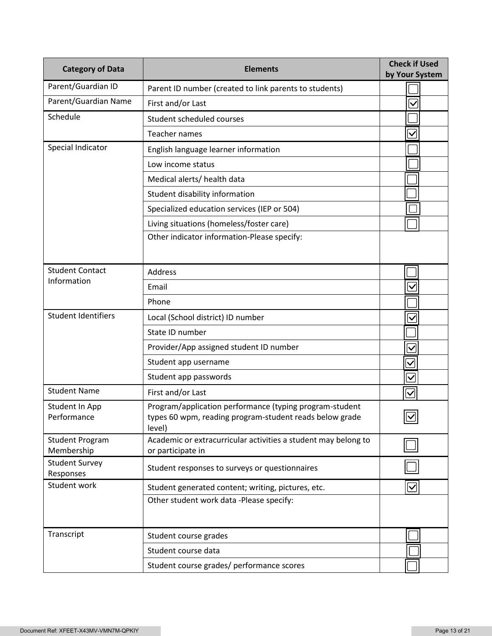| <b>Category of Data</b>              | <b>Elements</b>                                                                                                              | <b>Check if Used</b><br>by Your System |
|--------------------------------------|------------------------------------------------------------------------------------------------------------------------------|----------------------------------------|
| Parent/Guardian ID                   | Parent ID number (created to link parents to students)                                                                       |                                        |
| Parent/Guardian Name                 | First and/or Last                                                                                                            | $\checkmark$                           |
| Schedule                             | Student scheduled courses                                                                                                    |                                        |
|                                      | <b>Teacher names</b>                                                                                                         | $\checkmark$                           |
| Special Indicator                    | English language learner information                                                                                         |                                        |
|                                      | Low income status                                                                                                            |                                        |
|                                      | Medical alerts/ health data                                                                                                  |                                        |
|                                      | Student disability information                                                                                               |                                        |
|                                      | Specialized education services (IEP or 504)                                                                                  |                                        |
|                                      | Living situations (homeless/foster care)                                                                                     |                                        |
|                                      | Other indicator information-Please specify:                                                                                  |                                        |
| <b>Student Contact</b>               | <b>Address</b>                                                                                                               |                                        |
| Information                          | Email                                                                                                                        | $\checkmark$                           |
|                                      | Phone                                                                                                                        |                                        |
| <b>Student Identifiers</b>           | Local (School district) ID number                                                                                            | $\overline{\checkmark}$                |
|                                      | State ID number                                                                                                              |                                        |
|                                      | Provider/App assigned student ID number                                                                                      | $\checkmark$                           |
|                                      | Student app username                                                                                                         | $\checkmark$                           |
|                                      | Student app passwords                                                                                                        | $\overline{\checkmark}$                |
| <b>Student Name</b>                  | First and/or Last                                                                                                            | $\bm \nabla$                           |
| Student In App<br>Performance        | Program/application performance (typing program-student<br>types 60 wpm, reading program-student reads below grade<br>level) | $\boxed{\textcolor{blue}{\mathbb{Z}}}$ |
| <b>Student Program</b><br>Membership | Academic or extracurricular activities a student may belong to<br>or participate in                                          |                                        |
| <b>Student Survey</b><br>Responses   | Student responses to surveys or questionnaires                                                                               |                                        |
| Student work                         | Student generated content; writing, pictures, etc.                                                                           | $\boldsymbol{\mathsf{V}}$              |
|                                      | Other student work data -Please specify:                                                                                     |                                        |
| Transcript                           | Student course grades                                                                                                        |                                        |
|                                      | Student course data                                                                                                          |                                        |
|                                      | Student course grades/ performance scores                                                                                    |                                        |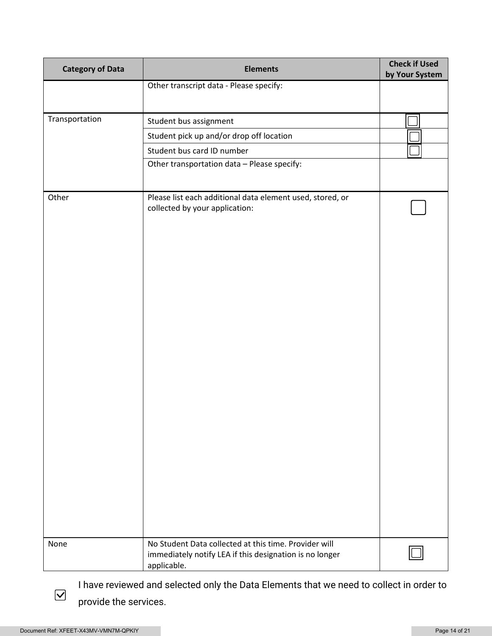| <b>Category of Data</b> | <b>Elements</b>                                                                                                                 | <b>Check if Used</b><br>by Your System |
|-------------------------|---------------------------------------------------------------------------------------------------------------------------------|----------------------------------------|
|                         | Other transcript data - Please specify:                                                                                         |                                        |
|                         |                                                                                                                                 |                                        |
| Transportation          | Student bus assignment                                                                                                          |                                        |
|                         | Student pick up and/or drop off location                                                                                        |                                        |
|                         | Student bus card ID number                                                                                                      |                                        |
|                         | Other transportation data - Please specify:                                                                                     |                                        |
|                         |                                                                                                                                 |                                        |
| Other                   | Please list each additional data element used, stored, or<br>collected by your application:                                     |                                        |
|                         |                                                                                                                                 |                                        |
| None                    | No Student Data collected at this time. Provider will<br>immediately notify LEA if this designation is no longer<br>applicable. |                                        |

I have reviewed and selected only the Data Elements that we need to collect in order to provide the services.

 $\boxed{\blacktriangledown}$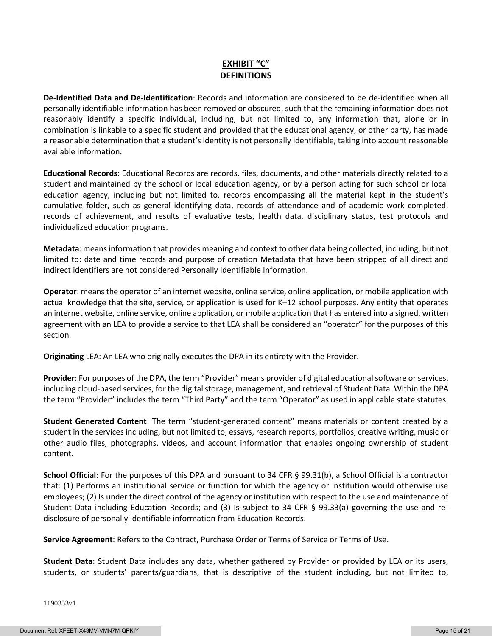## **EXHIBIT "C" DEFINITIONS**

**De-Identified Data and De-Identification**: Records and information are considered to be de-identified when all personally identifiable information has been removed or obscured, such that the remaining information does not reasonably identify a specific individual, including, but not limited to, any information that, alone or in combination is linkable to a specific student and provided that the educational agency, or other party, has made a reasonable determination that a student's identity is not personally identifiable, taking into account reasonable available information.

**Educational Records**: Educational Records are records, files, documents, and other materials directly related to a student and maintained by the school or local education agency, or by a person acting for such school or local education agency, including but not limited to, records encompassing all the material kept in the student's cumulative folder, such as general identifying data, records of attendance and of academic work completed, records of achievement, and results of evaluative tests, health data, disciplinary status, test protocols and individualized education programs.

**Metadata**: means information that provides meaning and context to other data being collected; including, but not limited to: date and time records and purpose of creation Metadata that have been stripped of all direct and indirect identifiers are not considered Personally Identifiable Information.

**Operator**: means the operator of an internet website, online service, online application, or mobile application with actual knowledge that the site, service, or application is used for K–12 school purposes. Any entity that operates an internet website, online service, online application, or mobile application that has entered into a signed, written agreement with an LEA to provide a service to that LEA shall be considered an "operator" for the purposes of this section.

**Originating** LEA: An LEA who originally executes the DPA in its entirety with the Provider.

**Provider**: For purposes of the DPA, the term "Provider" means provider of digital educational software or services, including cloud-based services, for the digital storage, management, and retrieval of Student Data. Within the DPA the term "Provider" includes the term "Third Party" and the term "Operator" as used in applicable state statutes.

**Student Generated Content**: The term "student-generated content" means materials or content created by a student in the services including, but not limited to, essays, research reports, portfolios, creative writing, music or other audio files, photographs, videos, and account information that enables ongoing ownership of student content.

**School Official**: For the purposes of this DPA and pursuant to 34 CFR § 99.31(b), a School Official is a contractor that: (1) Performs an institutional service or function for which the agency or institution would otherwise use employees; (2) Is under the direct control of the agency or institution with respect to the use and maintenance of Student Data including Education Records; and (3) Is subject to 34 CFR § 99.33(a) governing the use and redisclosure of personally identifiable information from Education Records.

**Service Agreement**: Refers to the Contract, Purchase Order or Terms of Service or Terms of Use.

**Student Data**: Student Data includes any data, whether gathered by Provider or provided by LEA or its users, students, or students' parents/guardians, that is descriptive of the student including, but not limited to,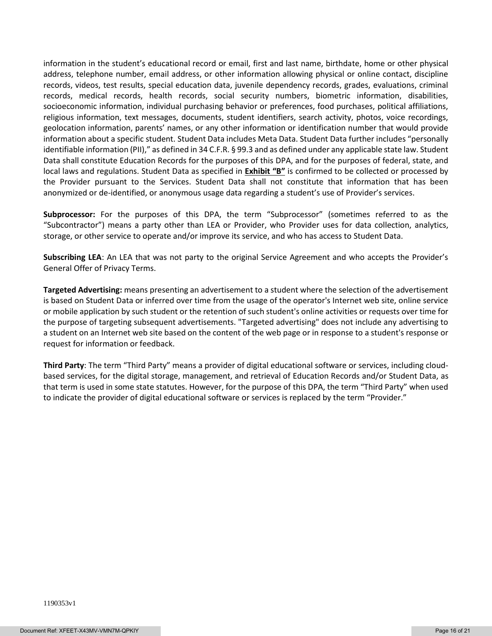information in the student's educational record or email, first and last name, birthdate, home or other physical address, telephone number, email address, or other information allowing physical or online contact, discipline records, videos, test results, special education data, juvenile dependency records, grades, evaluations, criminal records, medical records, health records, social security numbers, biometric information, disabilities, socioeconomic information, individual purchasing behavior or preferences, food purchases, political affiliations, religious information, text messages, documents, student identifiers, search activity, photos, voice recordings, geolocation information, parents' names, or any other information or identification number that would provide information about a specific student. Student Data includes Meta Data. Student Data further includes "personally identifiable information (PII)," as defined in 34 C.F.R. § 99.3 and as defined under any applicable state law. Student Data shall constitute Education Records for the purposes of this DPA, and for the purposes of federal, state, and local laws and regulations. Student Data as specified in **Exhibit "B"** is confirmed to be collected or processed by the Provider pursuant to the Services. Student Data shall not constitute that information that has been anonymized or de-identified, or anonymous usage data regarding a student's use of Provider's services.

**Subprocessor:** For the purposes of this DPA, the term "Subprocessor" (sometimes referred to as the "Subcontractor") means a party other than LEA or Provider, who Provider uses for data collection, analytics, storage, or other service to operate and/or improve its service, and who has access to Student Data.

**Subscribing LEA**: An LEA that was not party to the original Service Agreement and who accepts the Provider's General Offer of Privacy Terms.

**Targeted Advertising:** means presenting an advertisement to a student where the selection of the advertisement is based on Student Data or inferred over time from the usage of the operator's Internet web site, online service or mobile application by such student or the retention of such student's online activities or requests over time for the purpose of targeting subsequent advertisements. "Targeted advertising" does not include any advertising to a student on an Internet web site based on the content of the web page or in response to a student's response or request for information or feedback.

**Third Party**: The term "Third Party" means a provider of digital educational software or services, including cloudbased services, for the digital storage, management, and retrieval of Education Records and/or Student Data, as that term is used in some state statutes. However, for the purpose of this DPA, the term "Third Party" when used to indicate the provider of digital educational software or services is replaced by the term "Provider."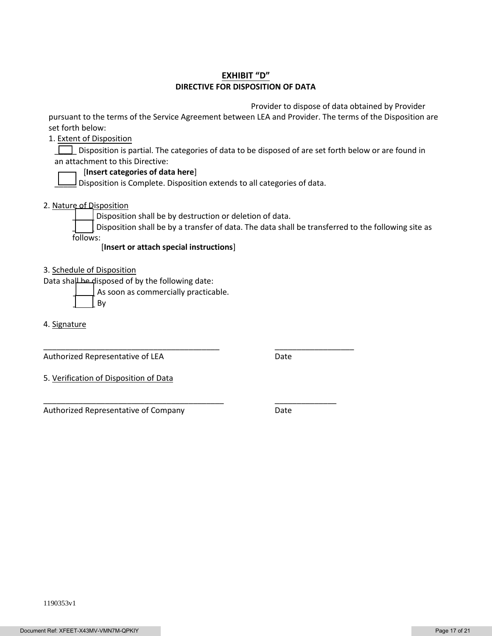#### **EXHIBIT "D" DIRECTIVE FOR DISPOSITION OF DATA**

Provider to dispose of data obtained by Provider

pursuant to the terms of the Service Agreement between LEA and Provider. The terms of the Disposition are set forth below:

1. Extent of Disposition

Disposition is partial. The categories of data to be disposed of are set forth below or are found in an attachment to this Directive:

#### [**Insert categories of data here**]

 $\Box$  Disposition is Complete. Disposition extends to all categories of data.

2. Nature of Disposition

Disposition shall be by destruction or deletion of data.

\_\_\_\_\_\_\_\_\_\_\_\_\_\_\_\_\_\_\_\_\_\_\_\_\_\_\_\_\_\_\_\_\_\_\_\_\_\_\_\_ \_\_\_\_\_\_\_\_\_\_\_\_\_\_\_\_\_\_

\_\_\_\_\_\_\_\_\_\_\_\_\_\_\_\_\_\_\_\_\_\_\_\_\_\_\_\_\_\_\_\_\_\_\_\_\_\_\_\_\_ \_\_\_\_\_\_\_\_\_\_\_\_\_\_

Disposition shall be by a transfer of data. The data shall be transferred to the following site as follows:

[**Insert or attach special instructions**]

3. Schedule of Disposition

Data shall be disposed of by the following date:

As soon as commercially practicable.

\_\_\_\_\_ By

4. Signature

Authorized Representative of LEA Date

5. Verification of Disposition of Data

Authorized Representative of Company **Date**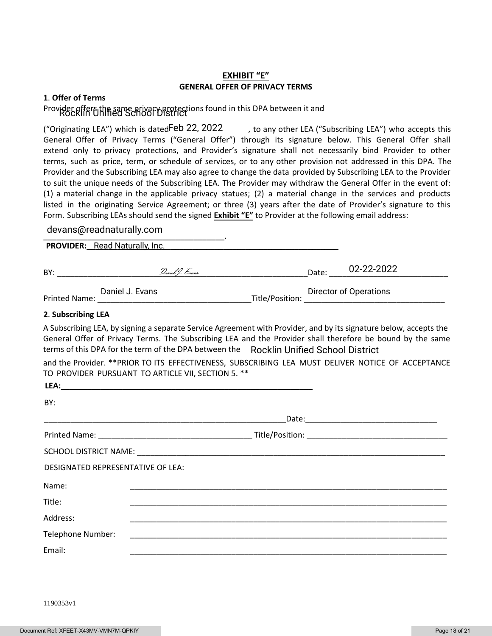#### **EXHIBIT "E" GENERAL OFFER OF PRIVACY TERMS**

#### **1**. **Offer of Terms**

## Provider offer bthe same privacy protections found in this DPA between it and

("Originating LEA") which is dated  $\text{Feb}$  22, 2022  $\qquad$  , to any other LEA ("Subscribing LEA") who accepts this General Offer of Privacy Terms ("General Offer") through its signature below. This General Offer shall extend only to privacy protections, and Provider's signature shall not necessarily bind Provider to other terms, such as price, term, or schedule of services, or to any other provision not addressed in this DPA. The Provider and the Subscribing LEA may also agree to change the data provided by Subscribing LEA to the Provider to suit the unique needs of the Subscribing LEA. The Provider may withdraw the General Offer in the event of: (1) a material change in the applicable privacy statues; (2) a material change in the services and products listed in the originating Service Agreement; or three (3) years after the date of Provider's signature to this Form. Subscribing LEAs should send the signed **Exhibit "E"** to Provider at the following email address:

# \_\_\_\_\_\_\_\_\_\_\_\_\_\_\_\_\_\_\_\_\_\_\_\_\_\_\_\_\_\_\_\_\_\_\_\_\_\_\_\_\_. devans@readnaturally.com

**PROVIDER:\_\_\_\_\_\_\_\_\_\_\_\_\_\_\_\_\_\_\_\_\_\_\_\_\_\_\_\_\_\_\_\_\_\_\_\_\_\_\_\_\_\_\_\_\_\_\_\_\_\_\_\_\_\_\_\_\_** Read Naturally, Inc.  $\mathsf{BY}:$   $\mathcal{D}_{\mathit{anial}}(f)$ .  $\mathcal{L}_{\mathit{vars}}$   $\mathcal{D}_{\mathit{ans}}$   $\mathsf{Date}:$ Daniel J. Evans **Director of Operations** 02-22-2022

Printed Name: \_\_\_\_\_\_\_\_\_\_\_\_\_\_\_\_\_\_\_\_\_\_\_\_\_\_\_\_\_\_\_\_\_\_\_Title/Position: \_\_\_\_\_\_\_\_\_\_\_\_\_\_\_\_\_\_\_\_\_\_\_\_\_\_\_\_\_\_\_\_

#### **2**. **Subscribing LEA**

A Subscribing LEA, by signing a separate Service Agreement with Provider, and by its signature below, accepts the General Offer of Privacy Terms. The Subscribing LEA and the Provider shall therefore be bound by the same terms of this DPA for the term of the DPA between the Rocklin Unified School District

and the Provider. \*\*PRIOR TO ITS EFFECTIVENESS, SUBSCRIBING LEA MUST DELIVER NOTICE OF ACCEPTANCE TO PROVIDER PURSUANT TO ARTICLE VII, SECTION 5. \*\*

| LEA:                              |  |
|-----------------------------------|--|
| BY:                               |  |
|                                   |  |
|                                   |  |
|                                   |  |
| DESIGNATED REPRESENTATIVE OF LEA: |  |
| Name:                             |  |
| Title:                            |  |
| Address:                          |  |
| Telephone Number:                 |  |
| Email:                            |  |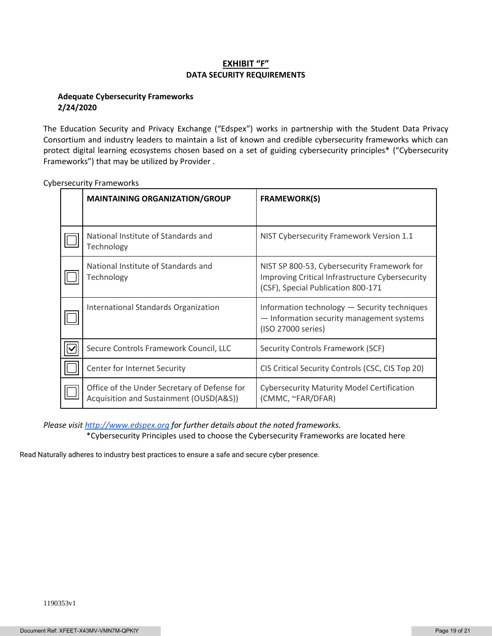#### **EXHIBIT "F" DATA SECURITY REQUIREMENTS**

#### **Adequate Cybersecurity Frameworks 2/24/2020**

The Education Security and Privacy Exchange ("Edspex") works in partnership with the Student Data Privacy Consortium and industry leaders to maintain a list of known and credible cybersecurity frameworks which can protect digital learning ecosystems chosen based on a set of guiding cybersecurity principles\* ("Cybersecurity Frameworks") that may be utilized by Provider .

| <b>MAINTAINING ORGANIZATION/GROUP</b>                                                   | <b>FRAMEWORK(S)</b>                                                                                                                  |
|-----------------------------------------------------------------------------------------|--------------------------------------------------------------------------------------------------------------------------------------|
|                                                                                         |                                                                                                                                      |
| National Institute of Standards and<br>Technology                                       | NIST Cybersecurity Framework Version 1.1                                                                                             |
| National Institute of Standards and<br>Technology                                       | NIST SP 800-53, Cybersecurity Framework for<br>Improving Critical Infrastructure Cybersecurity<br>(CSF), Special Publication 800-171 |
| International Standards Organization                                                    | Information technology - Security techniques<br>- Information security management systems<br>(ISO 27000 series)                      |
| Secure Controls Framework Council, LLC                                                  | Security Controls Framework (SCF)                                                                                                    |
| Center for Internet Security                                                            | CIS Critical Security Controls (CSC, CIS Top 20)                                                                                     |
| Office of the Under Secretary of Defense for<br>Acquisition and Sustainment (OUSD(A&S)) | <b>Cybersecurity Maturity Model Certification</b><br>(CMMC, ~FAR/DFAR)                                                               |

Cybersecurity Frameworks

*Please visi[t http://www.edspex.org](http://www.edspex.org/) for further details about the noted frameworks.* \*Cybersecurity Principles used to choose the Cybersecurity Frameworks are located here

Read Naturally adheres to industry best practices to ensure a safe and secure cyber presence.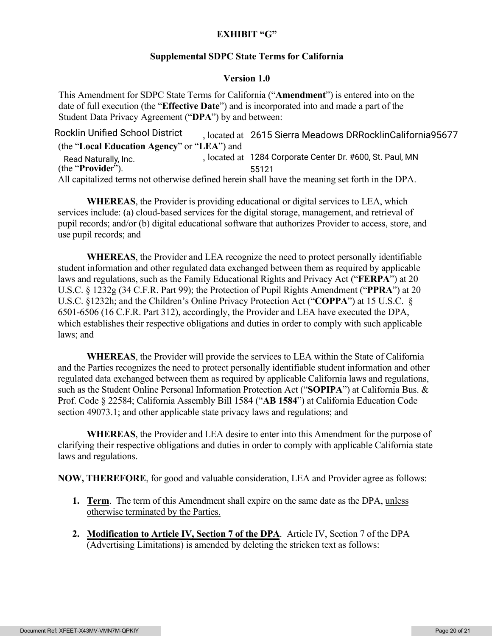## **EXHIBIT "G"**

#### **Supplemental SDPC State Terms for California**

#### **Version 1.0**

This Amendment for SDPC State Terms for California ("**Amendment**") is entered into on the date of full execution (the "**Effective Date**") and is incorporated into and made a part of the Student Data Privacy Agreement ("**DPA**") by and between:

Rocklin Unified School District <sub>2615</sub> Sierra Meadows DRRocklinCalifornia 25677 (the "**Local Education Agency**" or "**LEA**") and Read Naturally, Inc. https://www.flocated.at 1284 Corporate Center Dr. #600, St. Paul, MN (the "**Provide**r"). All capitalized terms not otherwise defined herein shall have the meaning set forth in the DPA. 55121

**WHEREAS**, the Provider is providing educational or digital services to LEA, which services include: (a) cloud-based services for the digital storage, management, and retrieval of pupil records; and/or (b) digital educational software that authorizes Provider to access, store, and use pupil records; and

**WHEREAS**, the Provider and LEA recognize the need to protect personally identifiable student information and other regulated data exchanged between them as required by applicable laws and regulations, such as the Family Educational Rights and Privacy Act ("**FERPA**") at 20 U.S.C. § 1232g (34 C.F.R. Part 99); the Protection of Pupil Rights Amendment ("**PPRA**") at 20 U.S.C. §1232h; and the Children's Online Privacy Protection Act ("**COPPA**") at 15 U.S.C. § 6501-6506 (16 C.F.R. Part 312), accordingly, the Provider and LEA have executed the DPA, which establishes their respective obligations and duties in order to comply with such applicable laws; and

**WHEREAS**, the Provider will provide the services to LEA within the State of California and the Parties recognizes the need to protect personally identifiable student information and other regulated data exchanged between them as required by applicable California laws and regulations, such as the Student Online Personal Information Protection Act ("**SOPIPA**") at California Bus. & Prof. Code § 22584; California Assembly Bill 1584 ("**AB 1584**") at California Education Code section 49073.1; and other applicable state privacy laws and regulations; and

**WHEREAS**, the Provider and LEA desire to enter into this Amendment for the purpose of clarifying their respective obligations and duties in order to comply with applicable California state laws and regulations.

**NOW, THEREFORE**, for good and valuable consideration, LEA and Provider agree as follows:

- **1. Term**. The term of this Amendment shall expire on the same date as the DPA, unless otherwise terminated by the Parties.
- **2. Modification to Article IV, Section 7 of the DPA**. Article IV, Section 7 of the DPA (Advertising Limitations) is amended by deleting the stricken text as follows: